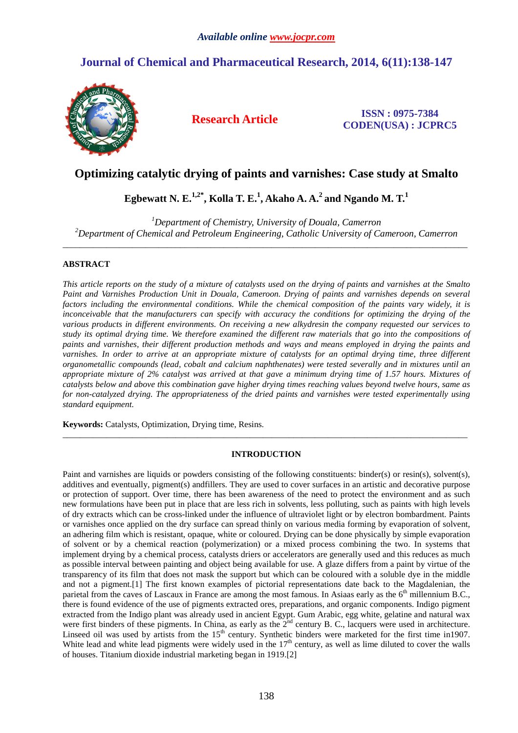# **Journal of Chemical and Pharmaceutical Research, 2014, 6(11):138-147**



**Research Article ISSN : 0975-7384 CODEN(USA) : JCPRC5**

# **Optimizing catalytic drying of paints and varnishes: Case study at Smalto**

# **Egbewatt N. E.1,2\*, Kolla T. E.<sup>1</sup> , Akaho A. A.<sup>2</sup>and Ngando M. T.<sup>1</sup>**

*<sup>1</sup>Department of Chemistry, University of Douala, Camerron <sup>2</sup>Department of Chemical and Petroleum Engineering, Catholic University of Cameroon, Camerron*  \_\_\_\_\_\_\_\_\_\_\_\_\_\_\_\_\_\_\_\_\_\_\_\_\_\_\_\_\_\_\_\_\_\_\_\_\_\_\_\_\_\_\_\_\_\_\_\_\_\_\_\_\_\_\_\_\_\_\_\_\_\_\_\_\_\_\_\_\_\_\_\_\_\_\_\_\_\_\_\_\_\_\_\_\_\_\_\_\_\_\_\_\_

# **ABSTRACT**

*This article reports on the study of a mixture of catalysts used on the drying of paints and varnishes at the Smalto Paint and Varnishes Production Unit in Douala, Cameroon. Drying of paints and varnishes depends on several*  factors including the environmental conditions. While the chemical composition of the paints vary widely, it is *inconceivable that the manufacturers can specify with accuracy the conditions for optimizing the drying of the various products in different environments. On receiving a new alkydresin the company requested our services to study its optimal drying time. We therefore examined the different raw materials that go into the compositions of paints and varnishes, their different production methods and ways and means employed in drying the paints and varnishes. In order to arrive at an appropriate mixture of catalysts for an optimal drying time, three different organometallic compounds (lead, cobalt and calcium naphthenates) were tested severally and in mixtures until an appropriate mixture of 2% catalyst was arrived at that gave a minimum drying time of 1.57 hours. Mixtures of catalysts below and above this combination gave higher drying times reaching values beyond twelve hours, same as for non-catalyzed drying. The appropriateness of the dried paints and varnishes were tested experimentally using standard equipment.* 

**Keywords:** Catalysts, Optimization, Drying time, Resins.

# **INTRODUCTION**

\_\_\_\_\_\_\_\_\_\_\_\_\_\_\_\_\_\_\_\_\_\_\_\_\_\_\_\_\_\_\_\_\_\_\_\_\_\_\_\_\_\_\_\_\_\_\_\_\_\_\_\_\_\_\_\_\_\_\_\_\_\_\_\_\_\_\_\_\_\_\_\_\_\_\_\_\_\_\_\_\_\_\_\_\_\_\_\_\_\_\_\_\_

Paint and varnishes are liquids or powders consisting of the following constituents: binder(s) or resin(s), solvent(s), additives and eventually, pigment(s) andfillers. They are used to cover surfaces in an artistic and decorative purpose or protection of support. Over time, there has been awareness of the need to protect the environment and as such new formulations have been put in place that are less rich in solvents, less polluting, such as paints with high levels of dry extracts which can be cross-linked under the influence of ultraviolet light or by electron bombardment. Paints or varnishes once applied on the dry surface can spread thinly on various media forming by evaporation of solvent, an adhering film which is resistant, opaque, white or coloured. Drying can be done physically by simple evaporation of solvent or by a chemical reaction (polymerization) or a mixed process combining the two. In systems that implement drying by a chemical process, catalysts driers or accelerators are generally used and this reduces as much as possible interval between painting and object being available for use. A glaze differs from a paint by virtue of the transparency of its film that does not mask the support but which can be coloured with a soluble dye in the middle and not a pigment.[1] The first known examples of pictorial representations date back to the Magdalenian, the parietal from the caves of Lascaux in France are among the most famous. In Asiaas early as the 6<sup>th</sup> millennium B.C., there is found evidence of the use of pigments extracted ores, preparations, and organic components. Indigo pigment extracted from the Indigo plant was already used in ancient Egypt. Gum Arabic, egg white, gelatine and natural wax were first binders of these pigments. In China, as early as the  $2<sup>nd</sup>$  century B. C., lacquers were used in architecture. Linseed oil was used by artists from the  $15<sup>th</sup>$  century. Synthetic binders were marketed for the first time in1907. White lead and white lead pigments were widely used in the  $17<sup>th</sup>$  century, as well as lime diluted to cover the walls of houses. Titanium dioxide industrial marketing began in 1919.[2]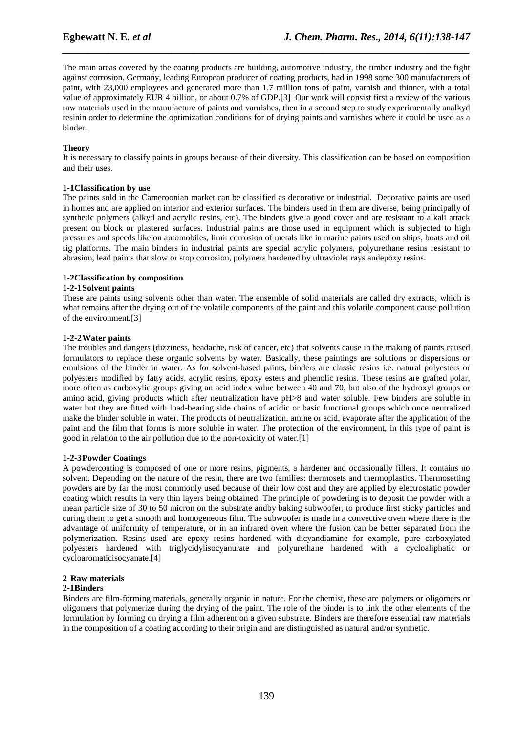The main areas covered by the coating products are building, automotive industry, the timber industry and the fight against corrosion. Germany, leading European producer of coating products, had in 1998 some 300 manufacturers of paint, with 23,000 employees and generated more than 1.7 million tons of paint, varnish and thinner, with a total value of approximately EUR 4 billion, or about 0.7% of GDP.[3] Our work will consist first a review of the various raw materials used in the manufacture of paints and varnishes, then in a second step to study experimentally analkyd resinin order to determine the optimization conditions for of drying paints and varnishes where it could be used as a binder.

*\_\_\_\_\_\_\_\_\_\_\_\_\_\_\_\_\_\_\_\_\_\_\_\_\_\_\_\_\_\_\_\_\_\_\_\_\_\_\_\_\_\_\_\_\_\_\_\_\_\_\_\_\_\_\_\_\_\_\_\_\_\_\_\_\_\_\_\_\_\_\_\_\_\_\_\_\_\_*

## **Theory**

It is necessary to classify paints in groups because of their diversity. This classification can be based on composition and their uses.

## **1-1 Classification by use**

The paints sold in the Cameroonian market can be classified as decorative or industrial. Decorative paints are used in homes and are applied on interior and exterior surfaces. The binders used in them are diverse, being principally of synthetic polymers (alkyd and acrylic resins, etc). The binders give a good cover and are resistant to alkali attack present on block or plastered surfaces. Industrial paints are those used in equipment which is subjected to high pressures and speeds like on automobiles, limit corrosion of metals like in marine paints used on ships, boats and oil rig platforms. The main binders in industrial paints are special acrylic polymers, polyurethane resins resistant to abrasion, lead paints that slow or stop corrosion, polymers hardened by ultraviolet rays andepoxy resins.

## **1-2 Classification by composition**

## **1-2-1 Solvent paints**

These are paints using solvents other than water. The ensemble of solid materials are called dry extracts, which is what remains after the drying out of the volatile components of the paint and this volatile component cause pollution of the environment.[3]

## **1-2-2 Water paints**

The troubles and dangers (dizziness, headache, risk of cancer, etc) that solvents cause in the making of paints caused formulators to replace these organic solvents by water. Basically, these paintings are solutions or dispersions or emulsions of the binder in water. As for solvent-based paints, binders are classic resins i.e. natural polyesters or polyesters modified by fatty acids, acrylic resins, epoxy esters and phenolic resins. These resins are grafted polar, more often as carboxylic groups giving an acid index value between 40 and 70, but also of the hydroxyl groups or amino acid, giving products which after neutralization have pH>8 and water soluble. Few binders are soluble in water but they are fitted with load-bearing side chains of acidic or basic functional groups which once neutralized make the binder soluble in water. The products of neutralization, amine or acid, evaporate after the application of the paint and the film that forms is more soluble in water. The protection of the environment, in this type of paint is good in relation to the air pollution due to the non-toxicity of water.[1]

## **1-2-3 Powder Coatings**

A powdercoating is composed of one or more resins, pigments, a hardener and occasionally fillers. It contains no solvent. Depending on the nature of the resin, there are two families: thermosets and thermoplastics. Thermosetting powders are by far the most commonly used because of their low cost and they are applied by electrostatic powder coating which results in very thin layers being obtained. The principle of powdering is to deposit the powder with a mean particle size of 30 to 50 micron on the substrate andby baking subwoofer, to produce first sticky particles and curing them to get a smooth and homogeneous film. The subwoofer is made in a convective oven where there is the advantage of uniformity of temperature, or in an infrared oven where the fusion can be better separated from the polymerization. Resins used are epoxy resins hardened with dicyandiamine for example, pure carboxylated polyesters hardened with triglycidylisocyanurate and polyurethane hardened with a cycloaliphatic or cycloaromaticisocyanate.[4]

## **2 Raw materials**

## **2-1 Binders**

Binders are film-forming materials, generally organic in nature. For the chemist, these are polymers or oligomers or oligomers that polymerize during the drying of the paint. The role of the binder is to link the other elements of the formulation by forming on drying a film adherent on a given substrate. Binders are therefore essential raw materials in the composition of a coating according to their origin and are distinguished as natural and/or synthetic.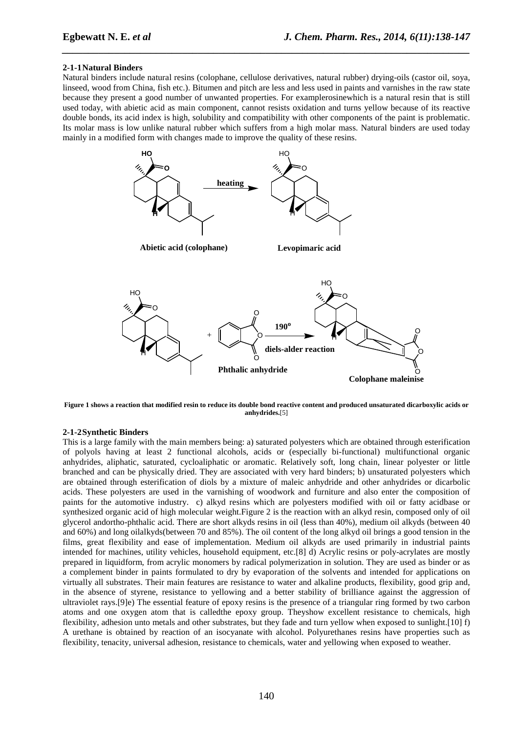## **2-1-1 Natural Binders**

Natural binders include natural resins (colophane, cellulose derivatives, natural rubber) drying-oils (castor oil, soya, linseed, wood from China, fish etc.). Bitumen and pitch are less and less used in paints and varnishes in the raw state because they present a good number of unwanted properties. For examplerosinewhich is a natural resin that is still used today, with abietic acid as main component, cannot resists oxidation and turns yellow because of its reactive double bonds, its acid index is high, solubility and compatibility with other components of the paint is problematic. Its molar mass is low unlike natural rubber which suffers from a high molar mass. Natural binders are used today mainly in a modified form with changes made to improve the quality of these resins.

*\_\_\_\_\_\_\_\_\_\_\_\_\_\_\_\_\_\_\_\_\_\_\_\_\_\_\_\_\_\_\_\_\_\_\_\_\_\_\_\_\_\_\_\_\_\_\_\_\_\_\_\_\_\_\_\_\_\_\_\_\_\_\_\_\_\_\_\_\_\_\_\_\_\_\_\_\_\_*



**Figure 1 shows a reaction that modified resin to reduce its double bond reactive content and produced unsaturated dicarboxylic acids or anhydrides.**[5]

## **2-1-2 Synthetic Binders**

This is a large family with the main members being: a) saturated polyesters which are obtained through esterification of polyols having at least 2 functional alcohols, acids or (especially bi-functional) multifunctional organic anhydrides, aliphatic, saturated, cycloaliphatic or aromatic. Relatively soft, long chain, linear polyester or little branched and can be physically dried. They are associated with very hard binders; b) unsaturated polyesters which are obtained through esterification of diols by a mixture of maleic anhydride and other anhydrides or dicarbolic acids. These polyesters are used in the varnishing of woodwork and furniture and also enter the composition of paints for the automotive industry. c) alkyd resins which are polyesters modified with oil or fatty acidbase or synthesized organic acid of high molecular weight.Figure 2 is the reaction with an alkyd resin, composed only of oil glycerol andortho-phthalic acid. There are short alkyds resins in oil (less than 40%), medium oil alkyds (between 40 and 60%) and long oilalkyds(between 70 and 85%). The oil content of the long alkyd oil brings a good tension in the films, great flexibility and ease of implementation. Medium oil alkyds are used primarily in industrial paints intended for machines, utility vehicles, household equipment, etc.[8] d) Acrylic resins or poly-acrylates are mostly prepared in liquidform, from acrylic monomers by radical polymerization in solution. They are used as binder or as a complement binder in paints formulated to dry by evaporation of the solvents and intended for applications on virtually all substrates. Their main features are resistance to water and alkaline products, flexibility, good grip and, in the absence of styrene, resistance to yellowing and a better stability of brilliance against the aggression of ultraviolet rays.[9]e) The essential feature of epoxy resins is the presence of a triangular ring formed by two carbon atoms and one oxygen atom that is calledthe epoxy group. Theyshow excellent resistance to chemicals, high flexibility, adhesion unto metals and other substrates, but they fade and turn yellow when exposed to sunlight.[10] f) A urethane is obtained by reaction of an isocyanate with alcohol. Polyurethanes resins have properties such as flexibility, tenacity, universal adhesion, resistance to chemicals, water and yellowing when exposed to weather.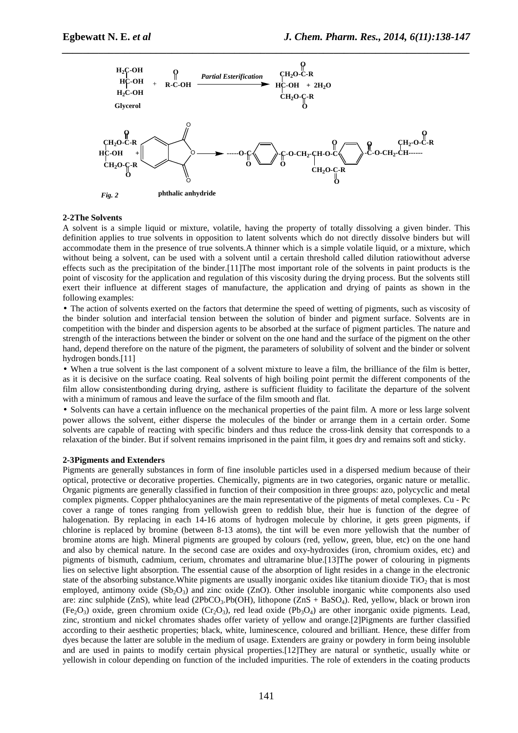

#### **2-2 The Solvents**

A solvent is a simple liquid or mixture, volatile, having the property of totally dissolving a given binder. This definition applies to true solvents in opposition to latent solvents which do not directly dissolve binders but will accommodate them in the presence of true solvents.A thinner which is a simple volatile liquid, or a mixture, which without being a solvent, can be used with a solvent until a certain threshold called dilution ratiowithout adverse effects such as the precipitation of the binder.[11]The most important role of the solvents in paint products is the point of viscosity for the application and regulation of this viscosity during the drying process. But the solvents still exert their influence at different stages of manufacture, the application and drying of paints as shown in the following examples:

• The action of solvents exerted on the factors that determine the speed of wetting of pigments, such as viscosity of the binder solution and interfacial tension between the solution of binder and pigment surface. Solvents are in competition with the binder and dispersion agents to be absorbed at the surface of pigment particles. The nature and strength of the interactions between the binder or solvent on the one hand and the surface of the pigment on the other hand, depend therefore on the nature of the pigment, the parameters of solubility of solvent and the binder or solvent hydrogen bonds.[11]

• When a true solvent is the last component of a solvent mixture to leave a film, the brilliance of the film is better, as it is decisive on the surface coating. Real solvents of high boiling point permit the different components of the film allow consistentbonding during drying, asthere is sufficient fluidity to facilitate the departure of the solvent with a minimum of ramous and leave the surface of the film smooth and flat.

• Solvents can have a certain influence on the mechanical properties of the paint film. A more or less large solvent power allows the solvent, either disperse the molecules of the binder or arrange them in a certain order. Some solvents are capable of reacting with specific binders and thus reduce the cross-link density that corresponds to a relaxation of the binder. But if solvent remains imprisoned in the paint film, it goes dry and remains soft and sticky.

#### **2-3 Pigments and Extenders**

Pigments are generally substances in form of fine insoluble particles used in a dispersed medium because of their optical, protective or decorative properties. Chemically, pigments are in two categories, organic nature or metallic. Organic pigments are generally classified in function of their composition in three groups: azo, polycyclic and metal complex pigments. Copper phthalocyanines are the main representative of the pigments of metal complexes. Cu - Pc cover a range of tones ranging from yellowish green to reddish blue, their hue is function of the degree of halogenation. By replacing in each 14-16 atoms of hydrogen molecule by chlorine, it gets green pigments, if chlorine is replaced by bromine (between 8-13 atoms), the tint will be even more yellowish that the number of bromine atoms are high. Mineral pigments are grouped by colours (red, yellow, green, blue, etc) on the one hand and also by chemical nature. In the second case are oxides and oxy-hydroxides (iron, chromium oxides, etc) and pigments of bismuth, cadmium, cerium, chromates and ultramarine blue.[13]The power of colouring in pigments lies on selective light absorption. The essential cause of the absorption of light resides in a change in the electronic state of the absorbing substance. White pigments are usually inorganic oxides like titanium dioxide  $TiO<sub>2</sub>$  that is most employed, antimony oxide  $(Sb<sub>2</sub>O<sub>3</sub>)$  and zinc oxide (ZnO). Other insoluble inorganic white components also used are: zinc sulphide (ZnS), white lead (2PbCO<sub>3</sub>.Pb(OH), lithopone (ZnS + BaSO<sub>4</sub>). Red, yellow, black or brown iron  $(Fe<sub>2</sub>O<sub>3</sub>)$  oxide, green chromium oxide  $(Cr<sub>2</sub>O<sub>3</sub>)$ , red lead oxide (Pb<sub>3</sub>O<sub>4</sub>) are other inorganic oxide pigments. Lead, zinc, strontium and nickel chromates shades offer variety of yellow and orange.[2]Pigments are further classified according to their aesthetic properties; black, white, luminescence, coloured and brilliant. Hence, these differ from dyes because the latter are soluble in the medium of usage. Extenders are grainy or powdery in form being insoluble and are used in paints to modify certain physical properties.[12]They are natural or synthetic, usually white or yellowish in colour depending on function of the included impurities. The role of extenders in the coating products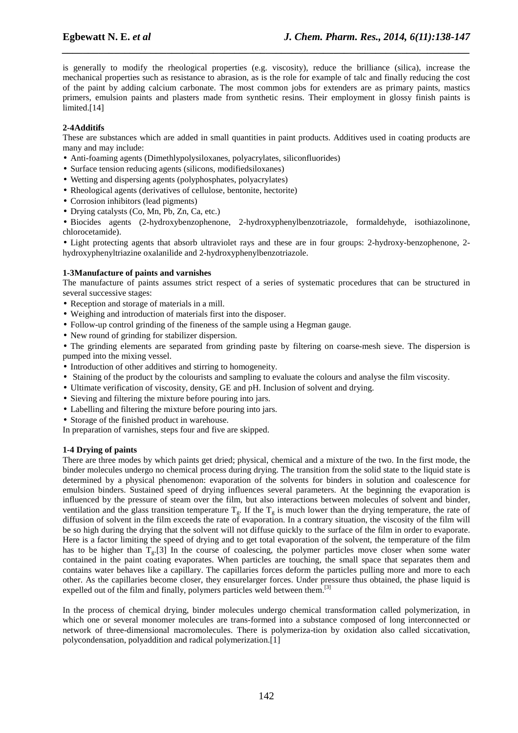is generally to modify the rheological properties (e.g. viscosity), reduce the brilliance (silica), increase the mechanical properties such as resistance to abrasion, as is the role for example of talc and finally reducing the cost of the paint by adding calcium carbonate. The most common jobs for extenders are as primary paints, mastics primers, emulsion paints and plasters made from synthetic resins. Their employment in glossy finish paints is limited.<sup>[14]</sup>

*\_\_\_\_\_\_\_\_\_\_\_\_\_\_\_\_\_\_\_\_\_\_\_\_\_\_\_\_\_\_\_\_\_\_\_\_\_\_\_\_\_\_\_\_\_\_\_\_\_\_\_\_\_\_\_\_\_\_\_\_\_\_\_\_\_\_\_\_\_\_\_\_\_\_\_\_\_\_*

## **2-4 Additifs**

These are substances which are added in small quantities in paint products. Additives used in coating products are many and may include:

- Anti-foaming agents (Dimethlypolysiloxanes, polyacrylates, siliconfluorides)
- Surface tension reducing agents (silicons, modifiedsiloxanes)
- Wetting and dispersing agents (polyphosphates, polyacrylates)
- Rheological agents (derivatives of cellulose, bentonite, hectorite)
- Corrosion inhibitors (lead pigments)
- Drying catalysts (Co, Mn, Pb, Zn, Ca, etc.)
- Biocides agents (2-hydroxybenzophenone, 2-hydroxyphenylbenzotriazole, formaldehyde, isothiazolinone, chlorocetamide).

• Light protecting agents that absorb ultraviolet rays and these are in four groups: 2-hydroxy-benzophenone, 2 hydroxyphenyltriazine oxalanilide and 2-hydroxyphenylbenzotriazole.

## **1-3 Manufacture of paints and varnishes**

The manufacture of paints assumes strict respect of a series of systematic procedures that can be structured in several successive stages:

- Reception and storage of materials in a mill.
- Weighing and introduction of materials first into the disposer.
- Follow-up control grinding of the fineness of the sample using a Hegman gauge.
- New round of grinding for stabilizer dispersion.

• The grinding elements are separated from grinding paste by filtering on coarse-mesh sieve. The dispersion is pumped into the mixing vessel.

- Introduction of other additives and stirring to homogeneity.
- Staining of the product by the colourists and sampling to evaluate the colours and analyse the film viscosity.
- Ultimate verification of viscosity, density, GE and pH. Inclusion of solvent and drying.
- Sieving and filtering the mixture before pouring into jars.
- Labelling and filtering the mixture before pouring into jars.
- Storage of the finished product in warehouse.
- In preparation of varnishes, steps four and five are skipped.

## **1-4 Drying of paints**

There are three modes by which paints get dried; physical, chemical and a mixture of the two. In the first mode, the binder molecules undergo no chemical process during drying. The transition from the solid state to the liquid state is determined by a physical phenomenon: evaporation of the solvents for binders in solution and coalescence for emulsion binders. Sustained speed of drying influences several parameters. At the beginning the evaporation is influenced by the pressure of steam over the film, but also interactions between molecules of solvent and binder, ventilation and the glass transition temperature  $T_{g}$ . If the  $T_{g}$  is much lower than the drying temperature, the rate of diffusion of solvent in the film exceeds the rate of evaporation. In a contrary situation, the viscosity of the film will be so high during the drying that the solvent will not diffuse quickly to the surface of the film in order to evaporate. Here is a factor limiting the speed of drying and to get total evaporation of the solvent, the temperature of the film has to be higher than  $T<sub>g</sub>$ .[3] In the course of coalescing, the polymer particles move closer when some water contained in the paint coating evaporates. When particles are touching, the small space that separates them and contains water behaves like a capillary. The capillaries forces deform the particles pulling more and more to each other. As the capillaries become closer, they ensurelarger forces. Under pressure thus obtained, the phase liquid is expelled out of the film and finally, polymers particles weld between them.<sup>[3]</sup>

In the process of chemical drying, binder molecules undergo chemical transformation called polymerization, in which one or several monomer molecules are trans-formed into a substance composed of long interconnected or network of three-dimensional macromolecules. There is polymeriza-tion by oxidation also called siccativation, polycondensation, polyaddition and radical polymerization.[1]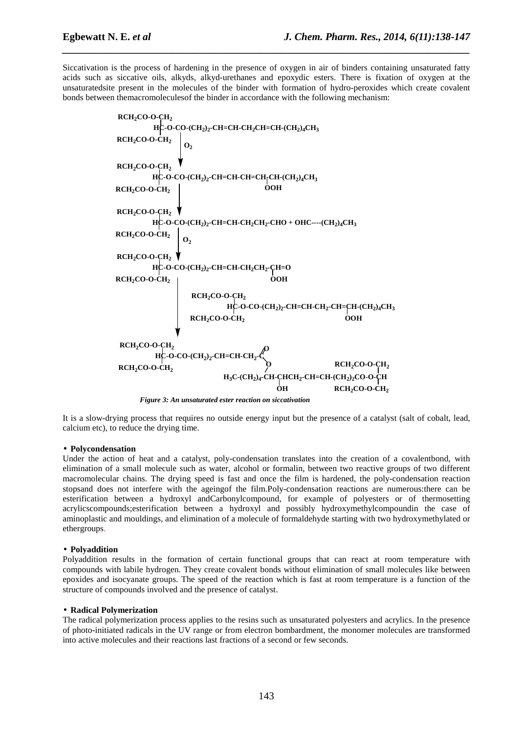Siccativation is the process of hardening in the presence of oxygen in air of binders containing unsaturated fatty acids such as siccative oils, alkyds, alkyd-urethanes and epoxydic esters. There is fixation of oxygen at the unsaturatedsite present in the molecules of the binder with formation of hydro-peroxides which create covalent bonds between themacromoleculesof the binder in accordance with the following mechanism:

*\_\_\_\_\_\_\_\_\_\_\_\_\_\_\_\_\_\_\_\_\_\_\_\_\_\_\_\_\_\_\_\_\_\_\_\_\_\_\_\_\_\_\_\_\_\_\_\_\_\_\_\_\_\_\_\_\_\_\_\_\_\_\_\_\_\_\_\_\_\_\_\_\_\_\_\_\_\_*



*Figure 3: An unsaturated ester reaction on siccativation*

It is a slow-drying process that requires no outside energy input but the presence of a catalyst (salt of cobalt, lead, calcium etc), to reduce the drying time.

#### • **Polycondensation**

Under the action of heat and a catalyst, poly-condensation translates into the creation of a covalentbond, with elimination of a small molecule such as water, alcohol or formalin, between two reactive groups of two different macromolecular chains. The drying speed is fast and once the film is hardened, the poly-condensation reaction stopsand does not interfere with the ageingof the film.Poly-condensation reactions are numerous:there can be esterification between a hydroxyl andCarbonylcompound, for example of polyesters or of thermosetting acrylicscompounds;esterification between a hydroxyl and possibly hydroxymethylcompoundin the case of aminoplastic and mouldings, and elimination of a molecule of formaldehyde starting with two hydroxymethylated or ethergroups.

#### • **Polyaddition**

Polyaddition results in the formation of certain functional groups that can react at room temperature with compounds with labile hydrogen. They create covalent bonds without elimination of small molecules like between epoxides and isocyanate groups. The speed of the reaction which is fast at room temperature is a function of the structure of compounds involved and the presence of catalyst.

## • **Radical Polymerization**

The radical polymerization process applies to the resins such as unsaturated polyesters and acrylics. In the presence of photo-initiated radicals in the UV range or from electron bombardment, the monomer molecules are transformed into active molecules and their reactions last fractions of a second or few seconds.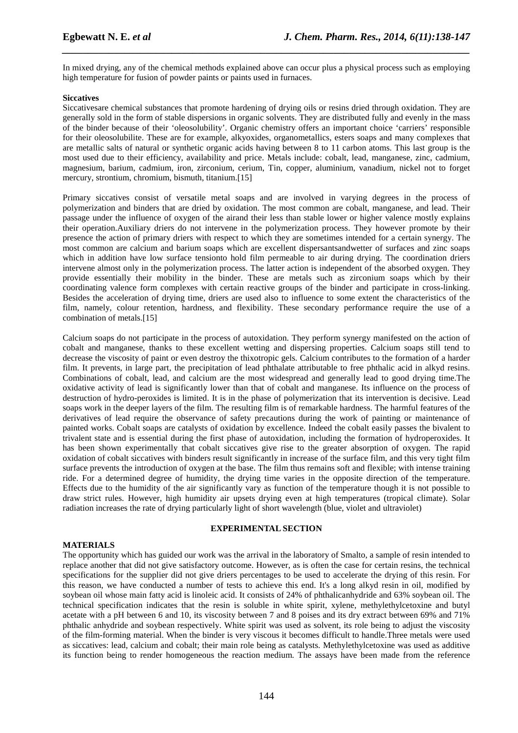In mixed drying, any of the chemical methods explained above can occur plus a physical process such as employing high temperature for fusion of powder paints or paints used in furnaces.

*\_\_\_\_\_\_\_\_\_\_\_\_\_\_\_\_\_\_\_\_\_\_\_\_\_\_\_\_\_\_\_\_\_\_\_\_\_\_\_\_\_\_\_\_\_\_\_\_\_\_\_\_\_\_\_\_\_\_\_\_\_\_\_\_\_\_\_\_\_\_\_\_\_\_\_\_\_\_*

## **Siccatives**

Siccativesare chemical substances that promote hardening of drying oils or resins dried through oxidation. They are generally sold in the form of stable dispersions in organic solvents. They are distributed fully and evenly in the mass of the binder because of their 'oleosolubility'. Organic chemistry offers an important choice 'carriers' responsible for their oleosolubilite. These are for example, alkyoxides, organometallics, esters soaps and many complexes that are metallic salts of natural or synthetic organic acids having between 8 to 11 carbon atoms. This last group is the most used due to their efficiency, availability and price. Metals include: cobalt, lead, manganese, zinc, cadmium, magnesium, barium, cadmium, iron, zirconium, cerium, Tin, copper, aluminium, vanadium, nickel not to forget mercury, strontium, chromium, bismuth, titanium.[15]

Primary siccatives consist of versatile metal soaps and are involved in varying degrees in the process of polymerization and binders that are dried by oxidation. The most common are cobalt, manganese, and lead. Their passage under the influence of oxygen of the airand their less than stable lower or higher valence mostly explains their operation.Auxiliary driers do not intervene in the polymerization process. They however promote by their presence the action of primary driers with respect to which they are sometimes intended for a certain synergy. The most common are calcium and barium soaps which are excellent dispersantsandwetter of surfaces and zinc soaps which in addition have low surface tensionto hold film permeable to air during drying. The coordination driers intervene almost only in the polymerization process. The latter action is independent of the absorbed oxygen. They provide essentially their mobility in the binder. These are metals such as zirconium soaps which by their coordinating valence form complexes with certain reactive groups of the binder and participate in cross-linking. Besides the acceleration of drying time, driers are used also to influence to some extent the characteristics of the film, namely, colour retention, hardness, and flexibility. These secondary performance require the use of a combination of metals.[15]

Calcium soaps do not participate in the process of autoxidation. They perform synergy manifested on the action of cobalt and manganese, thanks to these excellent wetting and dispersing properties. Calcium soaps still tend to decrease the viscosity of paint or even destroy the thixotropic gels. Calcium contributes to the formation of a harder film. It prevents, in large part, the precipitation of lead phthalate attributable to free phthalic acid in alkyd resins. Combinations of cobalt, lead, and calcium are the most widespread and generally lead to good drying time.The oxidative activity of lead is significantly lower than that of cobalt and manganese. Its influence on the process of destruction of hydro-peroxides is limited. It is in the phase of polymerization that its intervention is decisive. Lead soaps work in the deeper layers of the film. The resulting film is of remarkable hardness. The harmful features of the derivatives of lead require the observance of safety precautions during the work of painting or maintenance of painted works. Cobalt soaps are catalysts of oxidation by excellence. Indeed the cobalt easily passes the bivalent to trivalent state and is essential during the first phase of autoxidation, including the formation of hydroperoxides. It has been shown experimentally that cobalt siccatives give rise to the greater absorption of oxygen. The rapid oxidation of cobalt siccatives with binders result significantly in increase of the surface film, and this very tight film surface prevents the introduction of oxygen at the base. The film thus remains soft and flexible; with intense training ride. For a determined degree of humidity, the drying time varies in the opposite direction of the temperature. Effects due to the humidity of the air significantly vary as function of the temperature though it is not possible to draw strict rules. However, high humidity air upsets drying even at high temperatures (tropical climate). Solar radiation increases the rate of drying particularly light of short wavelength (blue, violet and ultraviolet)

#### **EXPERIMENTAL SECTION**

## **MATERIALS**

The opportunity which has guided our work was the arrival in the laboratory of Smalto, a sample of resin intended to replace another that did not give satisfactory outcome. However, as is often the case for certain resins, the technical specifications for the supplier did not give driers percentages to be used to accelerate the drying of this resin. For this reason, we have conducted a number of tests to achieve this end. It's a long alkyd resin in oil, modified by soybean oil whose main fatty acid is linoleic acid. It consists of 24% of phthalicanhydride and 63% soybean oil. The technical specification indicates that the resin is soluble in white spirit, xylene, methylethylcetoxine and butyl acetate with a pH between 6 and 10, its viscosity between 7 and 8 poises and its dry extract between 69% and 71% phthalic anhydride and soybean respectively. White spirit was used as solvent, its role being to adjust the viscosity of the film-forming material. When the binder is very viscous it becomes difficult to handle.Three metals were used as siccatives: lead, calcium and cobalt; their main role being as catalysts. Methylethylcetoxine was used as additive its function being to render homogeneous the reaction medium. The assays have been made from the reference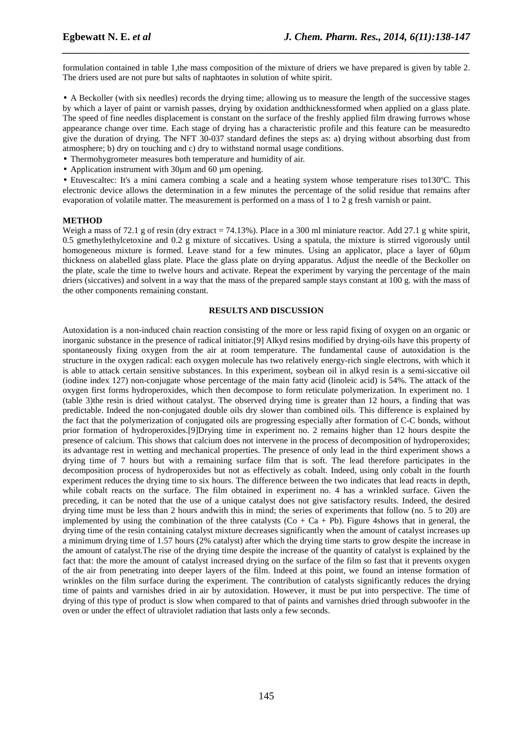formulation contained in table 1,the mass composition of the mixture of driers we have prepared is given by table 2. The driers used are not pure but salts of naphtaotes in solution of white spirit.

*\_\_\_\_\_\_\_\_\_\_\_\_\_\_\_\_\_\_\_\_\_\_\_\_\_\_\_\_\_\_\_\_\_\_\_\_\_\_\_\_\_\_\_\_\_\_\_\_\_\_\_\_\_\_\_\_\_\_\_\_\_\_\_\_\_\_\_\_\_\_\_\_\_\_\_\_\_\_*

• A Beckoller (with six needles) records the drying time; allowing us to measure the length of the successive stages by which a layer of paint or varnish passes, drying by oxidation andthicknessformed when applied on a glass plate. The speed of fine needles displacement is constant on the surface of the freshly applied film drawing furrows whose appearance change over time. Each stage of drying has a characteristic profile and this feature can be measuredto give the duration of drying. The NFT 30-037 standard defines the steps as: a) drying without absorbing dust from atmosphere; b) dry on touching and c) dry to withstand normal usage conditions.

- Thermohygrometer measures both temperature and humidity of air.
- Application instrument with  $30\mu$ m and  $60 \mu$ m opening.

• Etuvescaltec: It's a mini camera combing a scale and a heating system whose temperature rises to130ºC. This electronic device allows the determination in a few minutes the percentage of the solid residue that remains after evaporation of volatile matter. The measurement is performed on a mass of 1 to 2 g fresh varnish or paint.

## **METHOD**

Weigh a mass of 72.1 g of resin (dry extract  $= 74.13\%$ ). Place in a 300 ml miniature reactor. Add 27.1 g white spirit, 0.5 gmethylethylcetoxine and 0.2 g mixture of siccatives. Using a spatula, the mixture is stirred vigorously until homogeneous mixture is formed. Leave stand for a few minutes. Using an applicator, place a layer of 60µm thickness on alabelled glass plate. Place the glass plate on drying apparatus. Adjust the needle of the Beckoller on the plate, scale the time to twelve hours and activate. Repeat the experiment by varying the percentage of the main driers (siccatives) and solvent in a way that the mass of the prepared sample stays constant at 100 g. with the mass of the other components remaining constant.

## **RESULTS AND DISCUSSION**

Autoxidation is a non-induced chain reaction consisting of the more or less rapid fixing of oxygen on an organic or inorganic substance in the presence of radical initiator.[9] Alkyd resins modified by drying-oils have this property of spontaneously fixing oxygen from the air at room temperature. The fundamental cause of autoxidation is the structure in the oxygen radical: each oxygen molecule has two relatively energy-rich single electrons, with which it is able to attack certain sensitive substances. In this experiment, soybean oil in alkyd resin is a semi-siccative oil (iodine index 127) non-conjugate whose percentage of the main fatty acid (linoleic acid) is 54%. The attack of the oxygen first forms hydroperoxides, which then decompose to form reticulate polymerization. In experiment no. 1 (table 3)the resin is dried without catalyst. The observed drying time is greater than 12 hours, a finding that was predictable. Indeed the non-conjugated double oils dry slower than combined oils. This difference is explained by the fact that the polymerization of conjugated oils are progressing especially after formation of C-C bonds, without prior formation of hydroperoxides.[9]Drying time in experiment no. 2 remains higher than 12 hours despite the presence of calcium. This shows that calcium does not intervene in the process of decomposition of hydroperoxides; its advantage rest in wetting and mechanical properties. The presence of only lead in the third experiment shows a drying time of 7 hours but with a remaining surface film that is soft. The lead therefore participates in the decomposition process of hydroperoxides but not as effectively as cobalt. Indeed, using only cobalt in the fourth experiment reduces the drying time to six hours. The difference between the two indicates that lead reacts in depth, while cobalt reacts on the surface. The film obtained in experiment no. 4 has a wrinkled surface. Given the preceding, it can be noted that the use of a unique catalyst does not give satisfactory results. Indeed, the desired drying time must be less than 2 hours andwith this in mind; the series of experiments that follow (no. 5 to 20) are implemented by using the combination of the three catalysts ( $Co + Ca + Pb$ ). Figure 4shows that in general, the drying time of the resin containing catalyst mixture decreases significantly when the amount of catalyst increases up a minimum drying time of 1.57 hours (2% catalyst) after which the drying time starts to grow despite the increase in the amount of catalyst.The rise of the drying time despite the increase of the quantity of catalyst is explained by the fact that: the more the amount of catalyst increased drying on the surface of the film so fast that it prevents oxygen of the air from penetrating into deeper layers of the film. Indeed at this point, we found an intense formation of wrinkles on the film surface during the experiment. The contribution of catalysts significantly reduces the drying time of paints and varnishes dried in air by autoxidation. However, it must be put into perspective. The time of drying of this type of product is slow when compared to that of paints and varnishes dried through subwoofer in the oven or under the effect of ultraviolet radiation that lasts only a few seconds.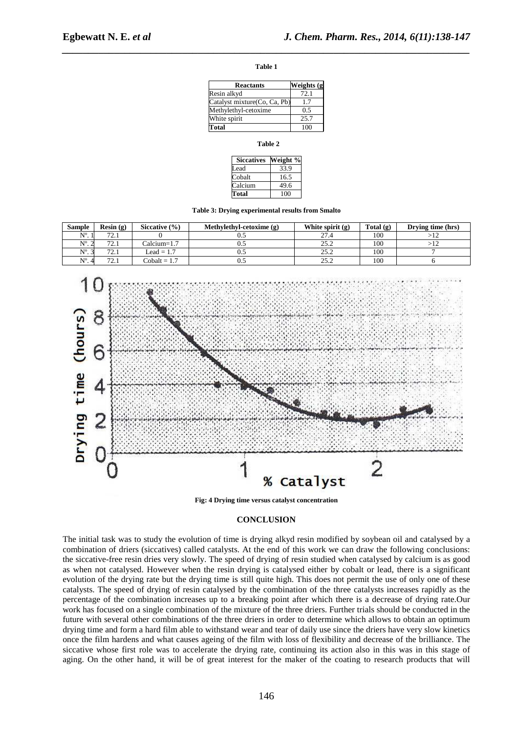*\_\_\_\_\_\_\_\_\_\_\_\_\_\_\_\_\_\_\_\_\_\_\_\_\_\_\_\_\_\_\_\_\_\_\_\_\_\_\_\_\_\_\_\_\_\_\_\_\_\_\_\_\_\_\_\_\_\_\_\_\_\_\_\_\_\_\_\_\_\_\_\_\_\_\_\_\_\_* **Table 1** 

| <b>Reactants</b>             | Weights (g |  |  |
|------------------------------|------------|--|--|
| Resin alkyd                  | 72.1       |  |  |
| Catalyst mixture(Co, Ca, Pb) | -7         |  |  |
| Methylethyl-cetoxime         | 0.5        |  |  |
| White spirit                 | 25.7       |  |  |
| Total                        | 100        |  |  |

**Table 2** 

| <b>Siccatives</b> | Weight % |
|-------------------|----------|
| Lead              | 33.9     |
| Cobalt            | 16.5     |
| Calcium           | 49.6     |
| Total             | 100      |

**Table 3: Drying experimental results from Smalto** 

| <b>Sample</b>          | Resin $(g)$ | Siccative (%)  | Methylethyl-cetoxime (g) | White spirit (g) | Total (g) | Drying time (hrs) |
|------------------------|-------------|----------------|--------------------------|------------------|-----------|-------------------|
| $N^{\circ}$ . 1        | 72.1        | $\Omega$       | 0.5                      | 27.4             | 100       | $>\!12$           |
| $N^{\circ}$ . 2        | 72.1        | Calcium=1.7    | 0.5                      | 25.2             | 100       | >12               |
| $N^{\circ}$ . 3        | 72.1        | $Lead = 1.7$   | 0.5                      | 25.2             | 100       | 7                 |
| $N^{\circ}$ . 4        | 72.1        | $Cobalt = 1.7$ | 0.5                      | 25.2             | 100       | 6                 |
| (hours)<br>Drying time | 8<br>6      |                |                          |                  |           |                   |
|                        |             |                |                          | % Catalyst       |           |                   |

**Fig: 4 Drying time versus catalyst concentration** 

#### **CONCLUSION**

The initial task was to study the evolution of time is drying alkyd resin modified by soybean oil and catalysed by a combination of driers (siccatives) called catalysts. At the end of this work we can draw the following conclusions: the siccative-free resin dries very slowly. The speed of drying of resin studied when catalysed by calcium is as good as when not catalysed. However when the resin drying is catalysed either by cobalt or lead, there is a significant evolution of the drying rate but the drying time is still quite high. This does not permit the use of only one of these catalysts. The speed of drying of resin catalysed by the combination of the three catalysts increases rapidly as the percentage of the combination increases up to a breaking point after which there is a decrease of drying rate.Our work has focused on a single combination of the mixture of the three driers. Further trials should be conducted in the future with several other combinations of the three driers in order to determine which allows to obtain an optimum drying time and form a hard film able to withstand wear and tear of daily use since the driers have very slow kinetics once the film hardens and what causes ageing of the film with loss of flexibility and decrease of the brilliance. The siccative whose first role was to accelerate the drying rate, continuing its action also in this was in this stage of aging. On the other hand, it will be of great interest for the maker of the coating to research products that will